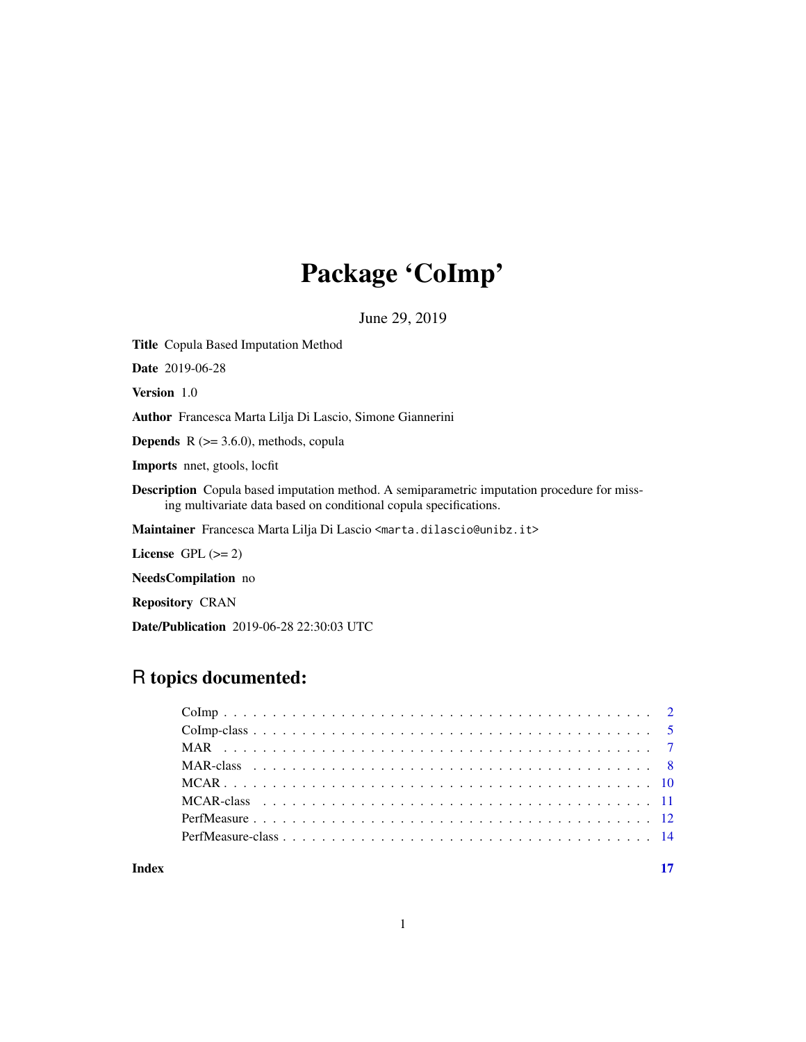# Package 'CoImp'

June 29, 2019

<span id="page-0-0"></span>Title Copula Based Imputation Method Date 2019-06-28 Version 1.0 Author Francesca Marta Lilja Di Lascio, Simone Giannerini **Depends**  $R$  ( $>= 3.6.0$ ), methods, copula Imports nnet, gtools, locfit Description Copula based imputation method. A semiparametric imputation procedure for missing multivariate data based on conditional copula specifications. Maintainer Francesca Marta Lilja Di Lascio <marta.dilascio@unibz.it> License GPL  $(>= 2)$ NeedsCompilation no

Repository CRAN

Date/Publication 2019-06-28 22:30:03 UTC

# R topics documented:

**Index** [17](#page-16-0)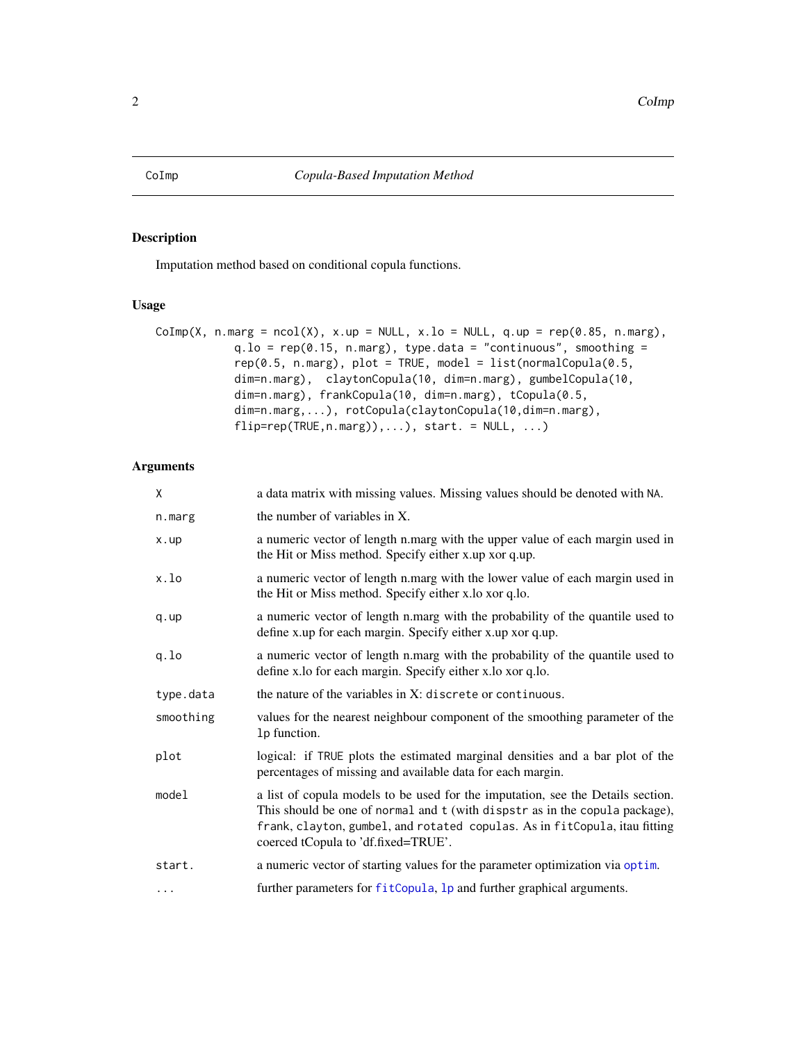# <span id="page-1-1"></span><span id="page-1-0"></span>Description

Imputation method based on conditional copula functions.

# Usage

```
\text{CoImp}(X, n.maxg = \text{ncol}(X), x.up = \text{NULL}, x-lo = \text{NULL}, q.up = \text{rep}(0.85, n.maxg),q.1o = rep(0.15, n.maxg), type.data = "continuous", smoothing =rep(0.5, n.maxg), plot = TRUE, model = list(normalCopula(0.5,dim=n.marg), claytonCopula(10, dim=n.marg), gumbelCopula(10,
             dim=n.marg), frankCopula(10, dim=n.marg), tCopula(0.5,
             dim=n.marg,...), rotCopula(claytonCopula(10,dim=n.marg),
             flip=rep(TRUE,n.marg)),...), start. = NULL, ...)
```
# Arguments

| X         | a data matrix with missing values. Missing values should be denoted with NA.                                                                                                                                                                                                        |
|-----------|-------------------------------------------------------------------------------------------------------------------------------------------------------------------------------------------------------------------------------------------------------------------------------------|
| n.marg    | the number of variables in X.                                                                                                                                                                                                                                                       |
| x.up      | a numeric vector of length n.marg with the upper value of each margin used in<br>the Hit or Miss method. Specify either x.up xor q.up.                                                                                                                                              |
| x.lo      | a numeric vector of length n.marg with the lower value of each margin used in<br>the Hit or Miss method. Specify either x.lo xor q.lo.                                                                                                                                              |
| q. up     | a numeric vector of length n.marg with the probability of the quantile used to<br>define x.up for each margin. Specify either x.up xor q.up.                                                                                                                                        |
| q.lo      | a numeric vector of length n.marg with the probability of the quantile used to<br>define x.lo for each margin. Specify either x.lo xor q.lo.                                                                                                                                        |
| type.data | the nature of the variables in $X$ : discrete or continuous.                                                                                                                                                                                                                        |
| smoothing | values for the nearest neighbour component of the smoothing parameter of the<br>1p function.                                                                                                                                                                                        |
| plot      | logical: if TRUE plots the estimated marginal densities and a bar plot of the<br>percentages of missing and available data for each margin.                                                                                                                                         |
| model     | a list of copula models to be used for the imputation, see the Details section.<br>This should be one of normal and t (with dispstr as in the copula package),<br>frank, clayton, gumbel, and rotated copulas. As in fitCopula, itau fitting<br>coerced tCopula to 'df.fixed=TRUE'. |
| start.    | a numeric vector of starting values for the parameter optimization via optim.                                                                                                                                                                                                       |
| $\cdots$  | further parameters for fitCopula, 1p and further graphical arguments.                                                                                                                                                                                                               |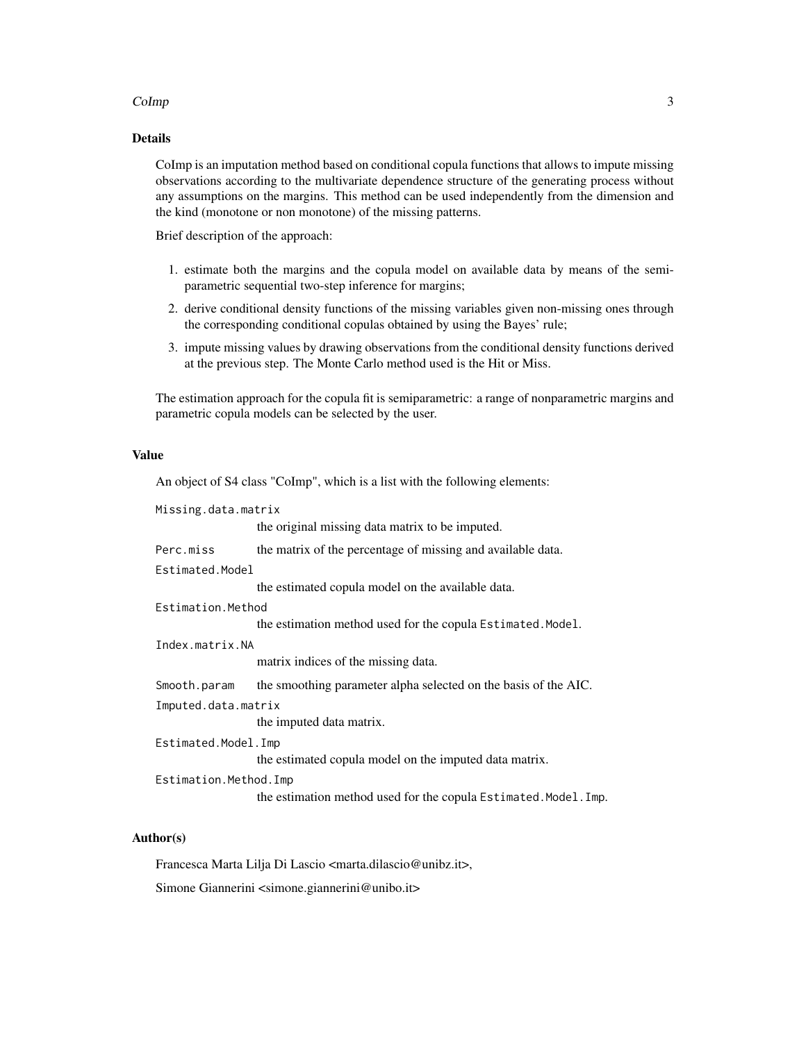# $Colmp$  3

# Details

CoImp is an imputation method based on conditional copula functions that allows to impute missing observations according to the multivariate dependence structure of the generating process without any assumptions on the margins. This method can be used independently from the dimension and the kind (monotone or non monotone) of the missing patterns.

Brief description of the approach:

- 1. estimate both the margins and the copula model on available data by means of the semiparametric sequential two-step inference for margins;
- 2. derive conditional density functions of the missing variables given non-missing ones through the corresponding conditional copulas obtained by using the Bayes' rule;
- 3. impute missing values by drawing observations from the conditional density functions derived at the previous step. The Monte Carlo method used is the Hit or Miss.

The estimation approach for the copula fit is semiparametric: a range of nonparametric margins and parametric copula models can be selected by the user.

# Value

An object of S4 class "CoImp", which is a list with the following elements:

| Missing.data.matrix   |                                                                  |
|-----------------------|------------------------------------------------------------------|
|                       | the original missing data matrix to be imputed.                  |
| Perc.miss             | the matrix of the percentage of missing and available data.      |
| Estimated.Model       |                                                                  |
|                       | the estimated copula model on the available data.                |
| Estimation.Method     |                                                                  |
|                       | the estimation method used for the copula Estimated. Model.      |
| Index.matrix.NA       |                                                                  |
|                       | matrix indices of the missing data.                              |
| Smooth.param          | the smoothing parameter alpha selected on the basis of the AIC.  |
| Imputed.data.matrix   |                                                                  |
|                       | the imputed data matrix.                                         |
| Estimated.Model.Imp   |                                                                  |
|                       | the estimated copula model on the imputed data matrix.           |
| Estimation.Method.Imp |                                                                  |
|                       | the estimation method used for the copula Estimated. Model. Imp. |

# Author(s)

Francesca Marta Lilja Di Lascio <marta.dilascio@unibz.it>,

Simone Giannerini <simone.giannerini@unibo.it>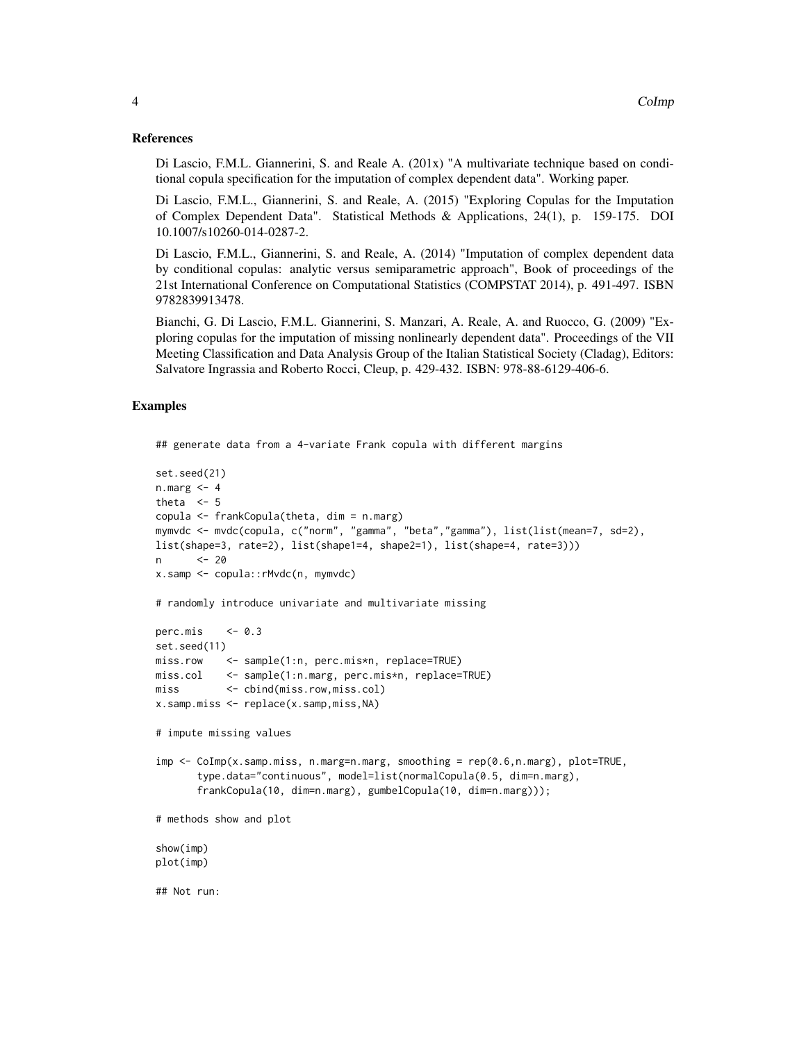# References

Di Lascio, F.M.L. Giannerini, S. and Reale A. (201x) "A multivariate technique based on conditional copula specification for the imputation of complex dependent data". Working paper.

Di Lascio, F.M.L., Giannerini, S. and Reale, A. (2015) "Exploring Copulas for the Imputation of Complex Dependent Data". Statistical Methods & Applications, 24(1), p. 159-175. DOI 10.1007/s10260-014-0287-2.

Di Lascio, F.M.L., Giannerini, S. and Reale, A. (2014) "Imputation of complex dependent data by conditional copulas: analytic versus semiparametric approach", Book of proceedings of the 21st International Conference on Computational Statistics (COMPSTAT 2014), p. 491-497. ISBN 9782839913478.

Bianchi, G. Di Lascio, F.M.L. Giannerini, S. Manzari, A. Reale, A. and Ruocco, G. (2009) "Exploring copulas for the imputation of missing nonlinearly dependent data". Proceedings of the VII Meeting Classification and Data Analysis Group of the Italian Statistical Society (Cladag), Editors: Salvatore Ingrassia and Roberto Rocci, Cleup, p. 429-432. ISBN: 978-88-6129-406-6.

# Examples

```
## generate data from a 4-variate Frank copula with different margins
set.seed(21)
n.maxg < -4theta <-5copula <- frankCopula(theta, dim = n.marg)
mymvdc <- mvdc(copula, c("norm", "gamma", "beta","gamma"), list(list(mean=7, sd=2),
list(shape=3, rate=2), list(shape1=4, shape2=1), list(shape=4, rate=3)))
n <- 20
x.samp <- copula::rMvdc(n, mymvdc)
# randomly introduce univariate and multivariate missing
perc.mis \leq -0.3set.seed(11)
miss.row <- sample(1:n, perc.mis*n, replace=TRUE)
miss.col <- sample(1:n.marg, perc.mis*n, replace=TRUE)
miss <- cbind(miss.row,miss.col)
x.samp.miss <- replace(x.samp,miss,NA)
# impute missing values
imp <- CoImp(x.samp.miss, n.marg=n.marg, smoothing = rep(0.6,n.marg), plot=TRUE,
      type.data="continuous", model=list(normalCopula(0.5, dim=n.marg),
      frankCopula(10, dim=n.marg), gumbelCopula(10, dim=n.marg)));
# methods show and plot
show(imp)
plot(imp)
## Not run:
```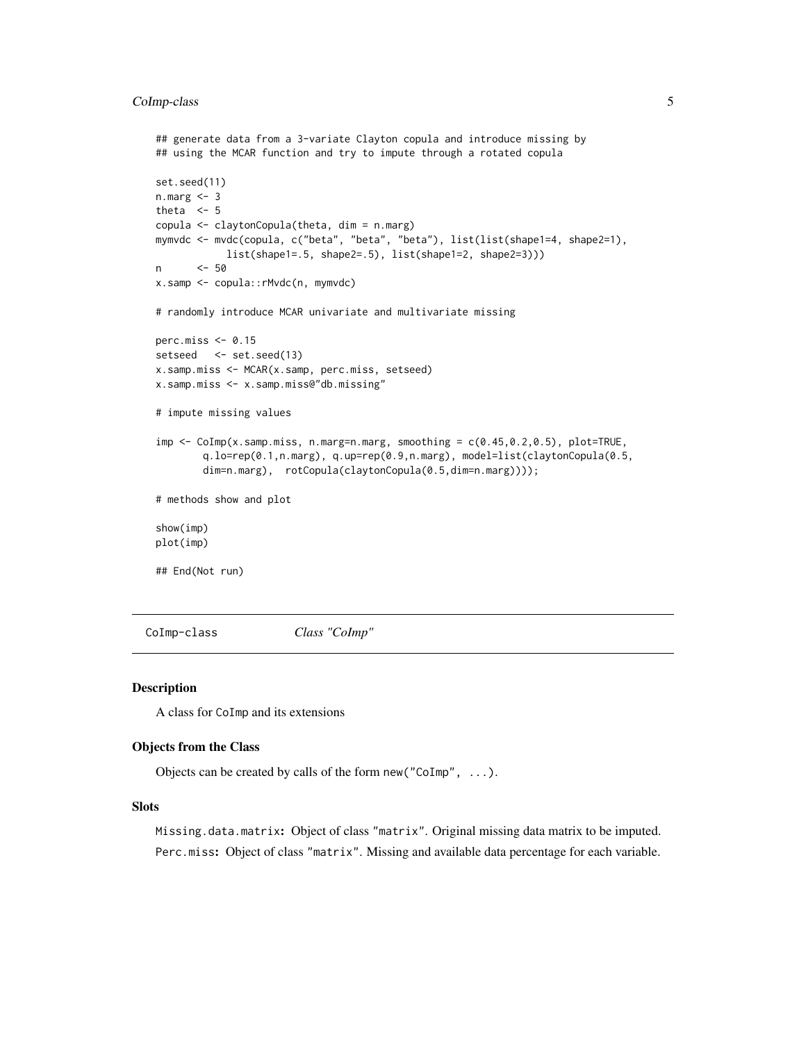# <span id="page-4-0"></span>CoImp-class 5

```
## generate data from a 3-variate Clayton copula and introduce missing by
## using the MCAR function and try to impute through a rotated copula
set.seed(11)
n.marg <- 3
theta <-5copula <- claytonCopula(theta, dim = n.marg)
mymvdc <- mvdc(copula, c("beta", "beta", "beta"), list(list(shape1=4, shape2=1),
           list(shape1=.5, shape2=.5), list(shape1=2, shape2=3)))
n <- 50
x.samp <- copula::rMvdc(n, mymvdc)
# randomly introduce MCAR univariate and multivariate missing
perc.miss \leq 0.15setseed <- set.seed(13)
x.samp.miss <- MCAR(x.samp, perc.miss, setseed)
x.samp.miss <- x.samp.miss@"db.missing"
# impute missing values
imp \leq CoImp(x.samp.miss, n.marg=n.marg, smoothing = c(0.45, 0.2, 0.5), plot=TRUE,
       q.lo=rep(0.1,n.marg), q.up=rep(0.9,n.marg), model=list(claytonCopula(0.5,
       dim=n.marg), rotCopula(claytonCopula(0.5,dim=n.marg))));
# methods show and plot
show(imp)
plot(imp)
## End(Not run)
```
CoImp-class *Class "CoImp"*

#### Description

A class for CoImp and its extensions

# Objects from the Class

Objects can be created by calls of the form new("CoImp", ...).

# **Slots**

Missing.data.matrix: Object of class "matrix". Original missing data matrix to be imputed. Perc.miss: Object of class "matrix". Missing and available data percentage for each variable.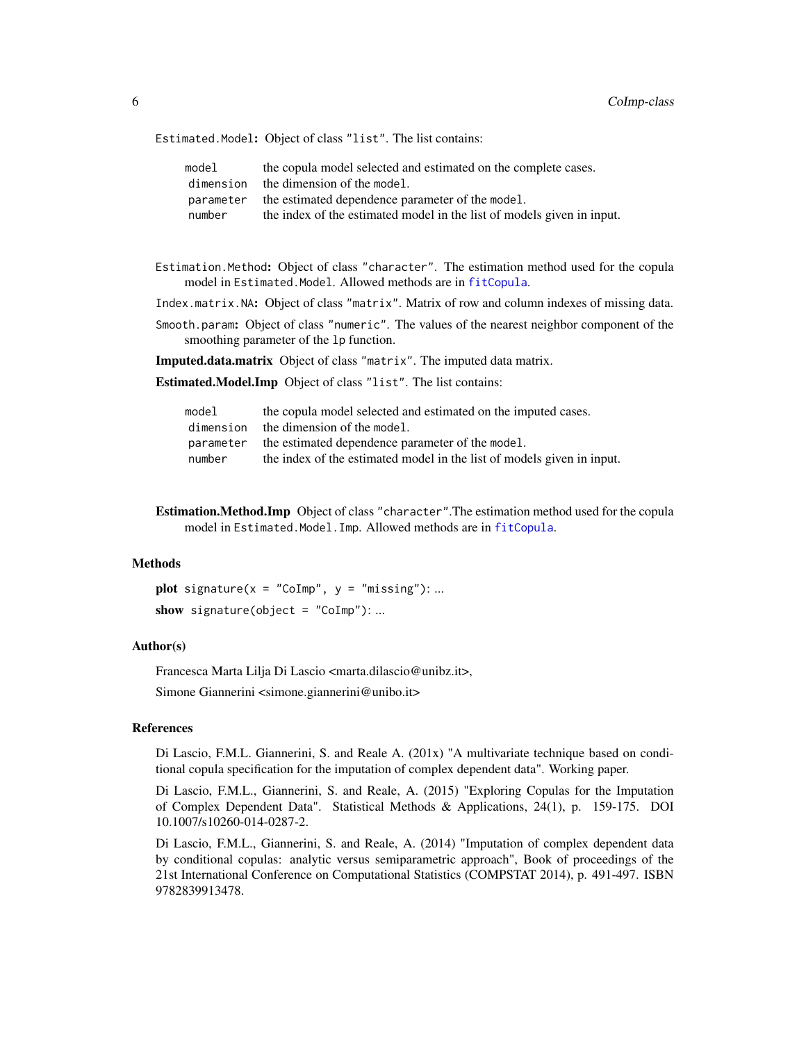<span id="page-5-0"></span>Estimated.Model: Object of class "list". The list contains:

| model     | the copula model selected and estimated on the complete cases.         |
|-----------|------------------------------------------------------------------------|
| dimension | the dimension of the model.                                            |
| parameter | the estimated dependence parameter of the model.                       |
| number    | the index of the estimated model in the list of models given in input. |

- Estimation.Method: Object of class "character". The estimation method used for the copula model in Estimated.Model. Allowed methods are in [fitCopula](#page-0-0).
- Index.matrix.NA: Object of class "matrix". Matrix of row and column indexes of missing data.
- Smooth.param: Object of class "numeric". The values of the nearest neighbor component of the smoothing parameter of the lp function.

Imputed.data.matrix Object of class "matrix". The imputed data matrix.

Estimated.Model.Imp Object of class "list". The list contains:

| model     | the copula model selected and estimated on the imputed cases.          |
|-----------|------------------------------------------------------------------------|
| dimension | the dimension of the model.                                            |
| parameter | the estimated dependence parameter of the model.                       |
| number    | the index of the estimated model in the list of models given in input. |

Estimation.Method.Imp Object of class "character".The estimation method used for the copula model in Estimated.Model.Imp. Allowed methods are in [fitCopula](#page-0-0).

# Methods

plot signature( $x = "Colmp", y = "missing":...$ show signature(object = "CoImp"): ...

# Author(s)

Francesca Marta Lilja Di Lascio <marta.dilascio@unibz.it>,

Simone Giannerini <simone.giannerini@unibo.it>

# References

Di Lascio, F.M.L. Giannerini, S. and Reale A. (201x) "A multivariate technique based on conditional copula specification for the imputation of complex dependent data". Working paper.

Di Lascio, F.M.L., Giannerini, S. and Reale, A. (2015) "Exploring Copulas for the Imputation of Complex Dependent Data". Statistical Methods & Applications, 24(1), p. 159-175. DOI 10.1007/s10260-014-0287-2.

Di Lascio, F.M.L., Giannerini, S. and Reale, A. (2014) "Imputation of complex dependent data by conditional copulas: analytic versus semiparametric approach", Book of proceedings of the 21st International Conference on Computational Statistics (COMPSTAT 2014), p. 491-497. ISBN 9782839913478.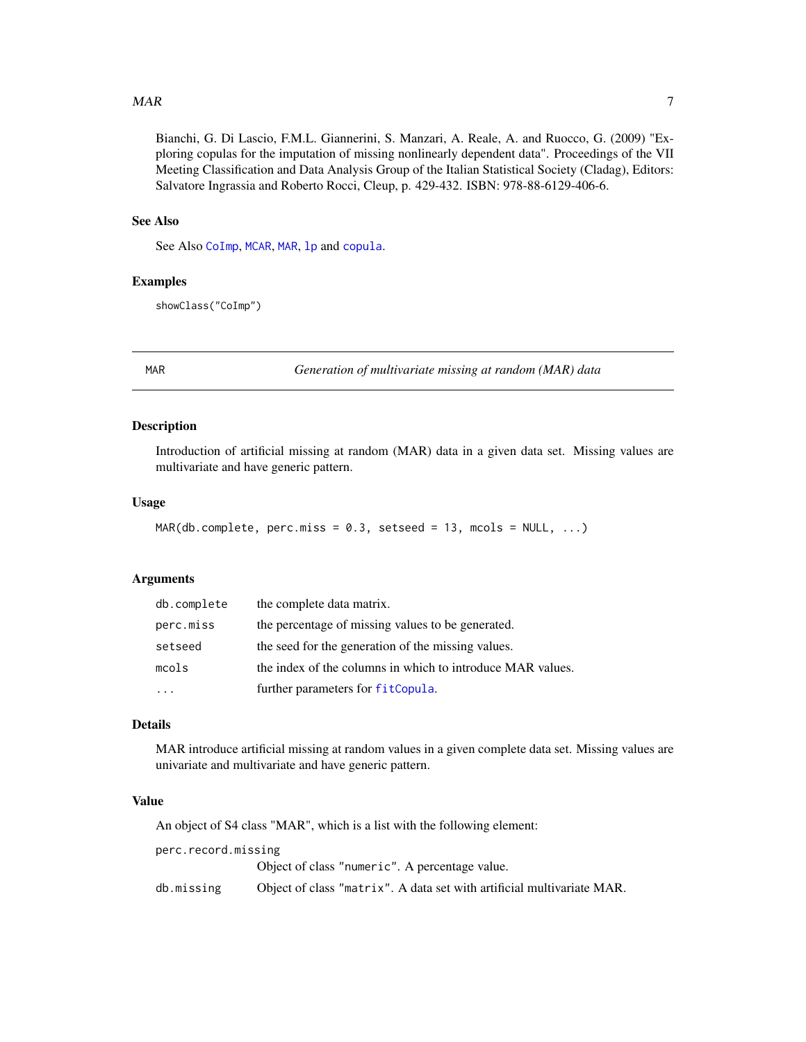#### <span id="page-6-0"></span> $MAR$  7

Bianchi, G. Di Lascio, F.M.L. Giannerini, S. Manzari, A. Reale, A. and Ruocco, G. (2009) "Exploring copulas for the imputation of missing nonlinearly dependent data". Proceedings of the VII Meeting Classification and Data Analysis Group of the Italian Statistical Society (Cladag), Editors: Salvatore Ingrassia and Roberto Rocci, Cleup, p. 429-432. ISBN: 978-88-6129-406-6.

### See Also

See Also [CoImp](#page-1-1), [MCAR](#page-9-1), [MAR](#page-6-1), [lp](#page-0-0) and [copula](#page-0-0).

# Examples

showClass("CoImp")

<span id="page-6-1"></span>MAR *Generation of multivariate missing at random (MAR) data*

# Description

Introduction of artificial missing at random (MAR) data in a given data set. Missing values are multivariate and have generic pattern.

#### Usage

```
MAR(db.compileite, perc.miss = 0.3, setsed = 13, moals = NULL, ...)
```
# Arguments

| db.complete | the complete data matrix.                                  |
|-------------|------------------------------------------------------------|
| perc.miss   | the percentage of missing values to be generated.          |
| setseed     | the seed for the generation of the missing values.         |
| mcols       | the index of the columns in which to introduce MAR values. |
|             | further parameters for fitCopula.                          |

# Details

MAR introduce artificial missing at random values in a given complete data set. Missing values are univariate and multivariate and have generic pattern.

# Value

An object of S4 class "MAR", which is a list with the following element:

perc.record.missing

Object of class "numeric". A percentage value.

db.missing Object of class "matrix". A data set with artificial multivariate MAR.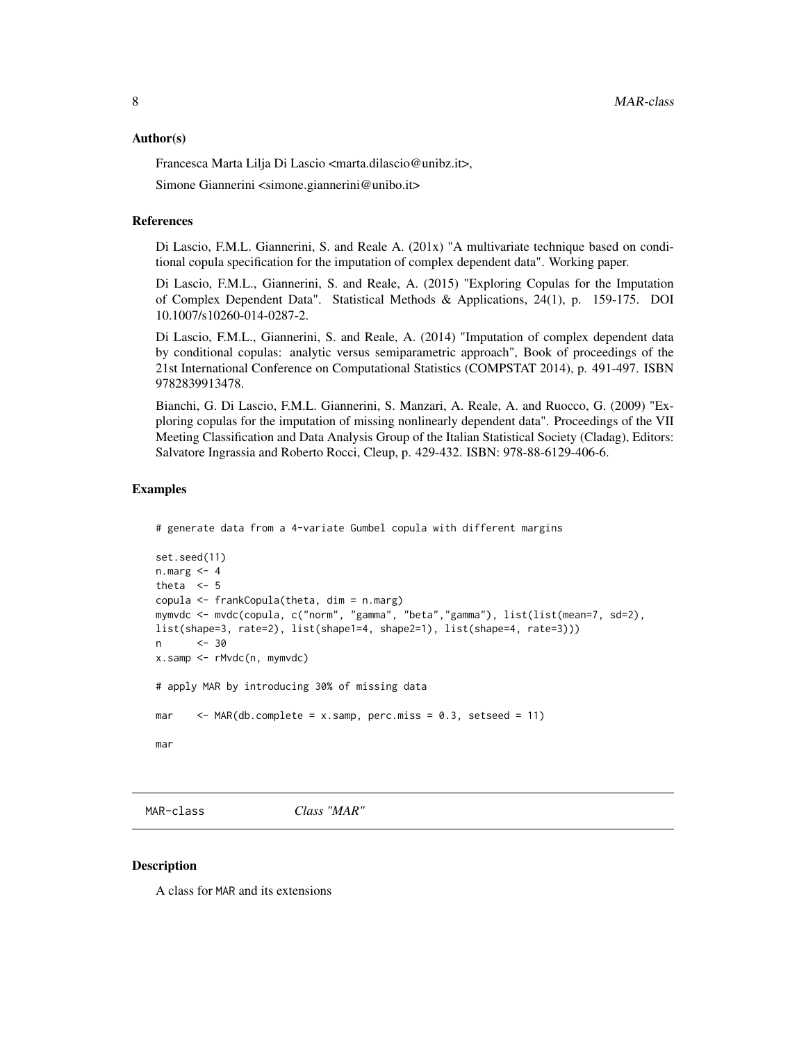#### <span id="page-7-0"></span>Author(s)

Francesca Marta Lilja Di Lascio <marta.dilascio@unibz.it>,

Simone Giannerini <simone.giannerini@unibo.it>

#### References

Di Lascio, F.M.L. Giannerini, S. and Reale A. (201x) "A multivariate technique based on conditional copula specification for the imputation of complex dependent data". Working paper.

Di Lascio, F.M.L., Giannerini, S. and Reale, A. (2015) "Exploring Copulas for the Imputation of Complex Dependent Data". Statistical Methods & Applications, 24(1), p. 159-175. DOI 10.1007/s10260-014-0287-2.

Di Lascio, F.M.L., Giannerini, S. and Reale, A. (2014) "Imputation of complex dependent data by conditional copulas: analytic versus semiparametric approach", Book of proceedings of the 21st International Conference on Computational Statistics (COMPSTAT 2014), p. 491-497. ISBN 9782839913478.

Bianchi, G. Di Lascio, F.M.L. Giannerini, S. Manzari, A. Reale, A. and Ruocco, G. (2009) "Exploring copulas for the imputation of missing nonlinearly dependent data". Proceedings of the VII Meeting Classification and Data Analysis Group of the Italian Statistical Society (Cladag), Editors: Salvatore Ingrassia and Roberto Rocci, Cleup, p. 429-432. ISBN: 978-88-6129-406-6.

#### Examples

```
# generate data from a 4-variate Gumbel copula with different margins
```

```
set.seed(11)
n.marg <- 4
theta <-5copula <- frankCopula(theta, dim = n.marg)
mymvdc <- mvdc(copula, c("norm", "gamma", "beta","gamma"), list(list(mean=7, sd=2),
list(shape=3, rate=2), list(shape1=4, shape2=1), list(shape=4, rate=3)))
n <- 30
x.samp <- rMvdc(n, mymvdc)
# apply MAR by introducing 30% of missing data
mar \leq MAR(db.complete = x.samp, perc.miss = 0.3, setseed = 11)
mar
```
MAR-class *Class "MAR"*

#### **Description**

A class for MAR and its extensions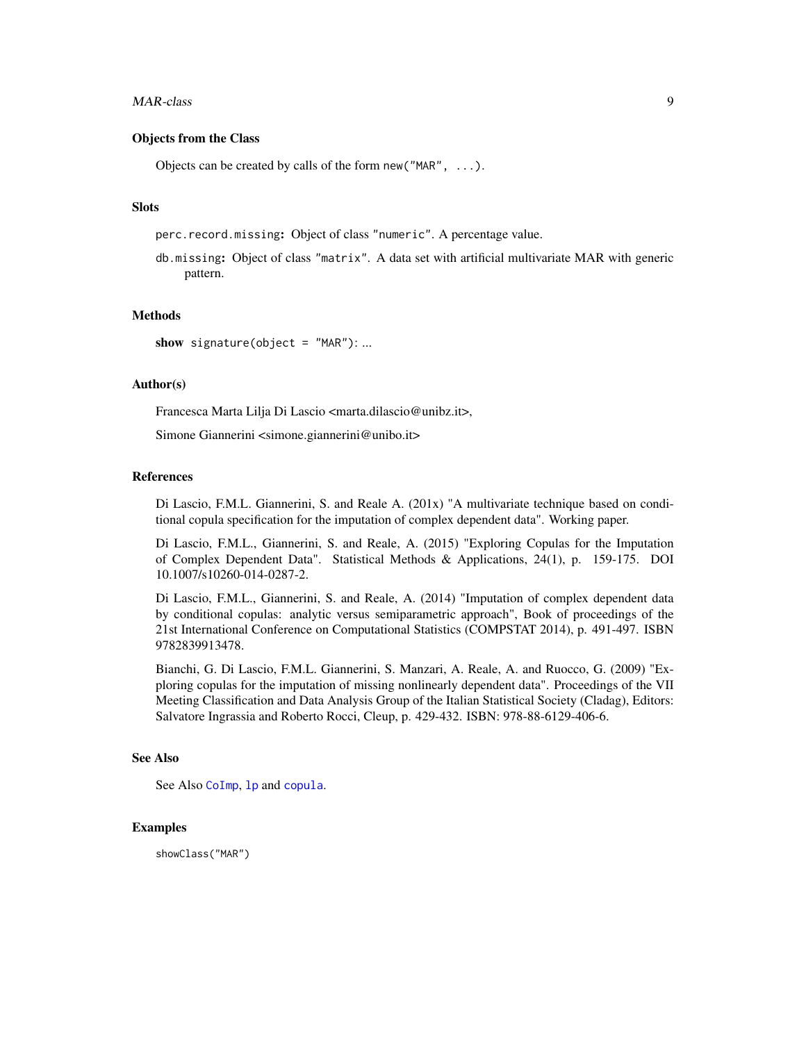#### <span id="page-8-0"></span>MAR-class 9

# Objects from the Class

Objects can be created by calls of the form new("MAR", ...).

#### **Slots**

perc.record.missing: Object of class "numeric". A percentage value.

db.missing: Object of class "matrix". A data set with artificial multivariate MAR with generic pattern.

# Methods

show signature(object =  $"MAR"$ ): ...

# Author(s)

Francesca Marta Lilja Di Lascio <marta.dilascio@unibz.it>,

Simone Giannerini <simone.giannerini@unibo.it>

# References

Di Lascio, F.M.L. Giannerini, S. and Reale A. (201x) "A multivariate technique based on conditional copula specification for the imputation of complex dependent data". Working paper.

Di Lascio, F.M.L., Giannerini, S. and Reale, A. (2015) "Exploring Copulas for the Imputation of Complex Dependent Data". Statistical Methods & Applications, 24(1), p. 159-175. DOI 10.1007/s10260-014-0287-2.

Di Lascio, F.M.L., Giannerini, S. and Reale, A. (2014) "Imputation of complex dependent data by conditional copulas: analytic versus semiparametric approach", Book of proceedings of the 21st International Conference on Computational Statistics (COMPSTAT 2014), p. 491-497. ISBN 9782839913478.

Bianchi, G. Di Lascio, F.M.L. Giannerini, S. Manzari, A. Reale, A. and Ruocco, G. (2009) "Exploring copulas for the imputation of missing nonlinearly dependent data". Proceedings of the VII Meeting Classification and Data Analysis Group of the Italian Statistical Society (Cladag), Editors: Salvatore Ingrassia and Roberto Rocci, Cleup, p. 429-432. ISBN: 978-88-6129-406-6.

# See Also

See Also [CoImp](#page-1-1), [lp](#page-0-0) and [copula](#page-0-0).

# Examples

showClass("MAR")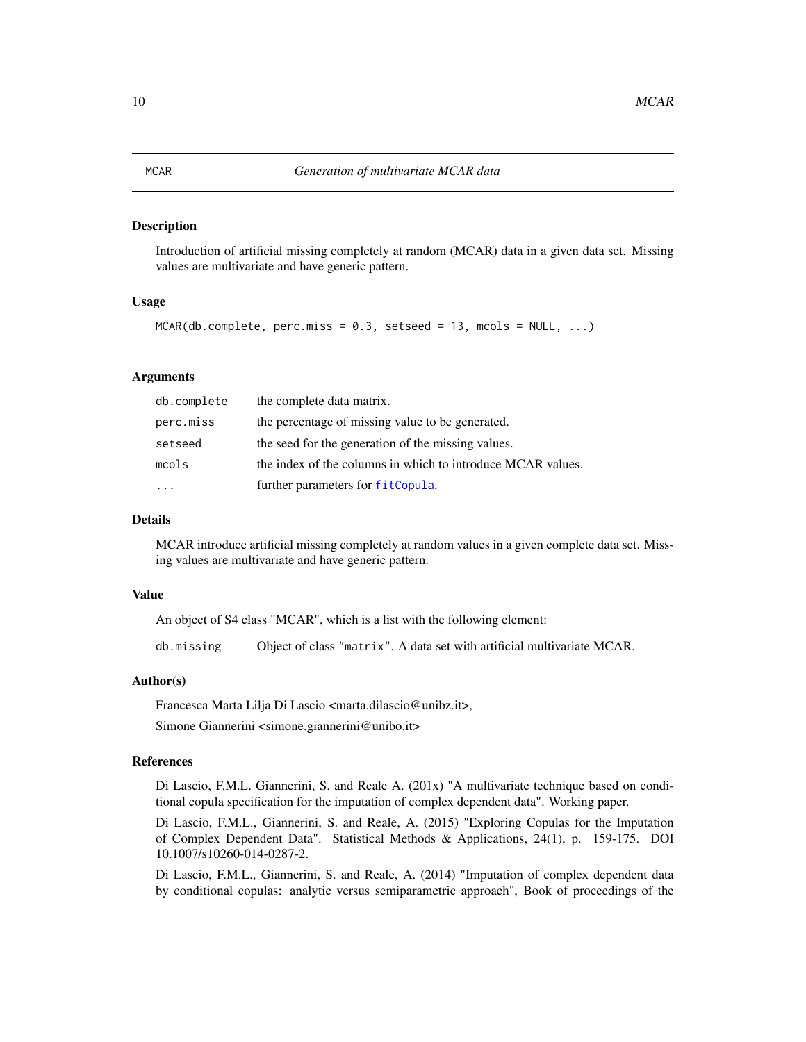#### <span id="page-9-1"></span><span id="page-9-0"></span>Description

Introduction of artificial missing completely at random (MCAR) data in a given data set. Missing values are multivariate and have generic pattern.

# Usage

```
MCAR(db.compile, perc.miss = 0.3, setsed = 13, moals = NULL, ...)
```
# Arguments

| db.complete | the complete data matrix.                                   |
|-------------|-------------------------------------------------------------|
| perc.miss   | the percentage of missing value to be generated.            |
| setseed     | the seed for the generation of the missing values.          |
| mcols       | the index of the columns in which to introduce MCAR values. |
| $\cdot$     | further parameters for fitCopula.                           |

#### Details

MCAR introduce artificial missing completely at random values in a given complete data set. Missing values are multivariate and have generic pattern.

# Value

An object of S4 class "MCAR", which is a list with the following element:

db.missing Object of class "matrix". A data set with artificial multivariate MCAR.

# Author(s)

Francesca Marta Lilja Di Lascio <marta.dilascio@unibz.it>,

Simone Giannerini <simone.giannerini@unibo.it>

# References

Di Lascio, F.M.L. Giannerini, S. and Reale A. (201x) "A multivariate technique based on conditional copula specification for the imputation of complex dependent data". Working paper.

Di Lascio, F.M.L., Giannerini, S. and Reale, A. (2015) "Exploring Copulas for the Imputation of Complex Dependent Data". Statistical Methods & Applications, 24(1), p. 159-175. DOI 10.1007/s10260-014-0287-2.

Di Lascio, F.M.L., Giannerini, S. and Reale, A. (2014) "Imputation of complex dependent data by conditional copulas: analytic versus semiparametric approach", Book of proceedings of the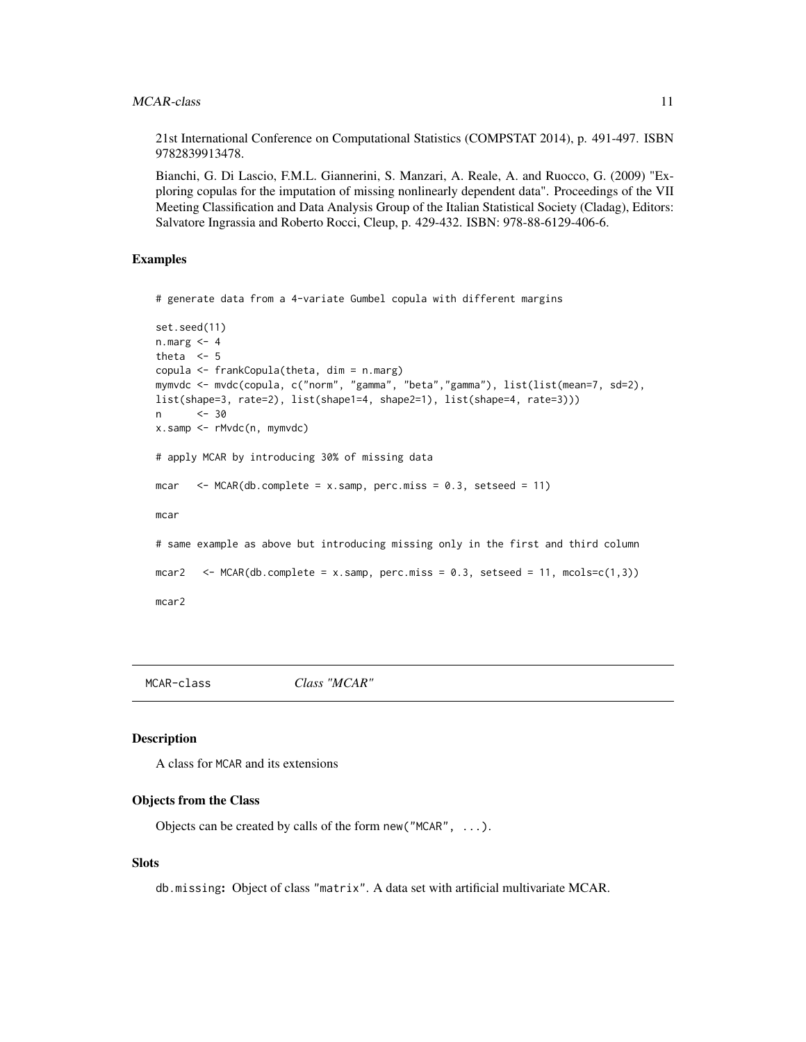<span id="page-10-0"></span>21st International Conference on Computational Statistics (COMPSTAT 2014), p. 491-497. ISBN 9782839913478.

Bianchi, G. Di Lascio, F.M.L. Giannerini, S. Manzari, A. Reale, A. and Ruocco, G. (2009) "Exploring copulas for the imputation of missing nonlinearly dependent data". Proceedings of the VII Meeting Classification and Data Analysis Group of the Italian Statistical Society (Cladag), Editors: Salvatore Ingrassia and Roberto Rocci, Cleup, p. 429-432. ISBN: 978-88-6129-406-6.

# Examples

```
# generate data from a 4-variate Gumbel copula with different margins
```

```
set.seed(11)
n.marg <- 4
theta <-5copula <- frankCopula(theta, dim = n.marg)
mymvdc <- mvdc(copula, c("norm", "gamma", "beta","gamma"), list(list(mean=7, sd=2),
list(shape=3, rate=2), list(shape1=4, shape2=1), list(shape=4, rate=3)))
n <- 30
x.samp <- rMvdc(n, mymvdc)
# apply MCAR by introducing 30% of missing data
mcar \leq MCAR(db.complete = x.samp, perc.miss = 0.3, setseed = 11)
mcar
# same example as above but introducing missing only in the first and third column
mcar2 <- MCAR(db.complete = x.samp, perc.miss = 0.3, setseed = 11, mcols=c(1,3))
mcar2
```
MCAR-class *Class "MCAR"*

#### Description

A class for MCAR and its extensions

#### Objects from the Class

Objects can be created by calls of the form new ("MCAR",  $\dots$ ).

# Slots

db.missing: Object of class "matrix". A data set with artificial multivariate MCAR.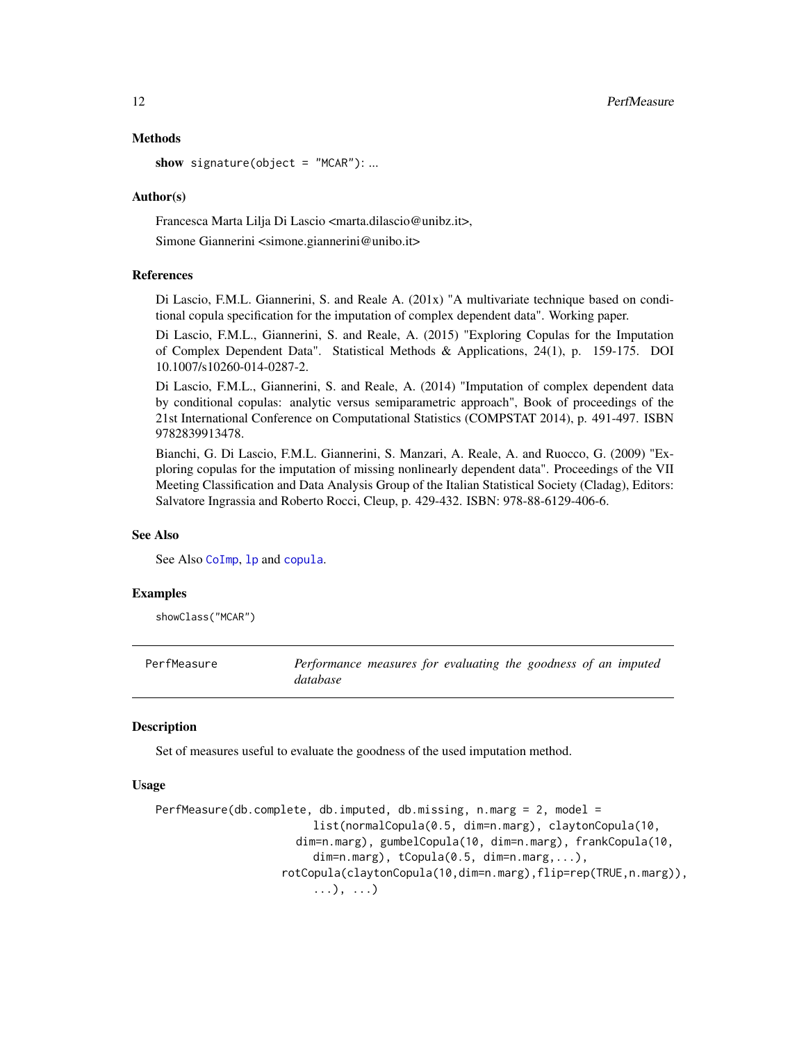#### Methods

show signature(object =  $"MCAR"$ ): ...

#### Author(s)

Francesca Marta Lilja Di Lascio <marta.dilascio@unibz.it>, Simone Giannerini <simone.giannerini@unibo.it>

# References

Di Lascio, F.M.L. Giannerini, S. and Reale A. (201x) "A multivariate technique based on conditional copula specification for the imputation of complex dependent data". Working paper.

Di Lascio, F.M.L., Giannerini, S. and Reale, A. (2015) "Exploring Copulas for the Imputation of Complex Dependent Data". Statistical Methods & Applications, 24(1), p. 159-175. DOI 10.1007/s10260-014-0287-2.

Di Lascio, F.M.L., Giannerini, S. and Reale, A. (2014) "Imputation of complex dependent data by conditional copulas: analytic versus semiparametric approach", Book of proceedings of the 21st International Conference on Computational Statistics (COMPSTAT 2014), p. 491-497. ISBN 9782839913478.

Bianchi, G. Di Lascio, F.M.L. Giannerini, S. Manzari, A. Reale, A. and Ruocco, G. (2009) "Exploring copulas for the imputation of missing nonlinearly dependent data". Proceedings of the VII Meeting Classification and Data Analysis Group of the Italian Statistical Society (Cladag), Editors: Salvatore Ingrassia and Roberto Rocci, Cleup, p. 429-432. ISBN: 978-88-6129-406-6.

# See Also

See Also [CoImp](#page-1-1), [lp](#page-0-0) and [copula](#page-0-0).

# Examples

showClass("MCAR")

PerfMeasure *Performance measures for evaluating the goodness of an imputed database*

# Description

Set of measures useful to evaluate the goodness of the used imputation method.

# Usage

```
PerfMeasure(db.complete, db.imputed, db.missing, n.marg = 2, model =
                        list(normalCopula(0.5, dim=n.marg), claytonCopula(10,
                     dim=n.marg), gumbelCopula(10, dim=n.marg), frankCopula(10,
                        dim=n.maxg), tCopula(0.5, dim=n.maxg,...),
                   rotCopula(claytonCopula(10,dim=n.marg),flip=rep(TRUE,n.marg)),
                        ...), ...)
```
<span id="page-11-0"></span>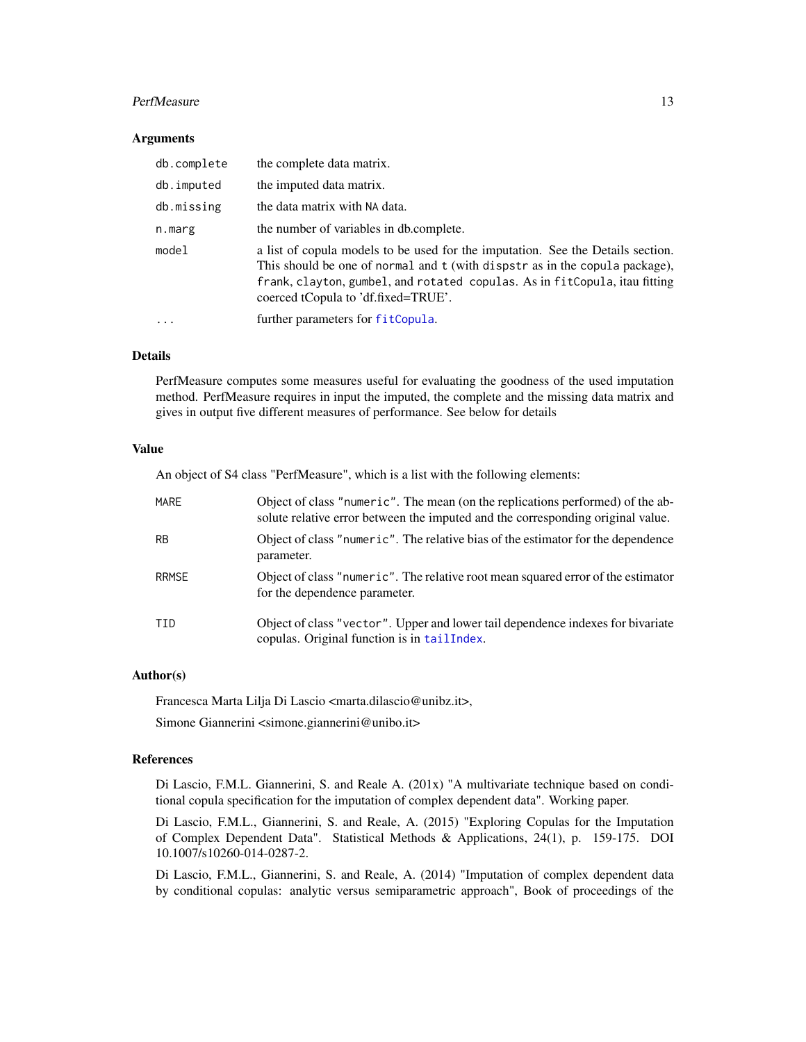#### <span id="page-12-0"></span>PerfMeasure 13

# **Arguments**

| db.complete | the complete data matrix.                                                                                                                                                                                                                                                           |
|-------------|-------------------------------------------------------------------------------------------------------------------------------------------------------------------------------------------------------------------------------------------------------------------------------------|
| db.imputed  | the imputed data matrix.                                                                                                                                                                                                                                                            |
| db.missing  | the data matrix with NA data.                                                                                                                                                                                                                                                       |
| n.marg      | the number of variables in db.complete.                                                                                                                                                                                                                                             |
| model       | a list of copula models to be used for the imputation. See the Details section.<br>This should be one of normal and t (with dispstr as in the copula package),<br>frank, clayton, gumbel, and rotated copulas. As in fitCopula, itau fitting<br>coerced tCopula to 'df.fixed=TRUE'. |
|             | further parameters for fitCopula.                                                                                                                                                                                                                                                   |

# Details

PerfMeasure computes some measures useful for evaluating the goodness of the used imputation method. PerfMeasure requires in input the imputed, the complete and the missing data matrix and gives in output five different measures of performance. See below for details

# Value

An object of S4 class "PerfMeasure", which is a list with the following elements:

| MARE         | Object of class "numeric". The mean (on the replications performed) of the ab-<br>solute relative error between the imputed and the corresponding original value. |
|--------------|-------------------------------------------------------------------------------------------------------------------------------------------------------------------|
| <b>RB</b>    | Object of class "numeric". The relative bias of the estimator for the dependence<br>parameter.                                                                    |
| <b>RRMSE</b> | Object of class "numeric". The relative root mean squared error of the estimator<br>for the dependence parameter.                                                 |
| TTD.         | Object of class "vector". Upper and lower tail dependence indexes for bivariate<br>copulas. Original function is in tail Index.                                   |

# Author(s)

Francesca Marta Lilja Di Lascio <marta.dilascio@unibz.it>,

Simone Giannerini <simone.giannerini@unibo.it>

# References

Di Lascio, F.M.L. Giannerini, S. and Reale A. (201x) "A multivariate technique based on conditional copula specification for the imputation of complex dependent data". Working paper.

Di Lascio, F.M.L., Giannerini, S. and Reale, A. (2015) "Exploring Copulas for the Imputation of Complex Dependent Data". Statistical Methods & Applications, 24(1), p. 159-175. DOI 10.1007/s10260-014-0287-2.

Di Lascio, F.M.L., Giannerini, S. and Reale, A. (2014) "Imputation of complex dependent data by conditional copulas: analytic versus semiparametric approach", Book of proceedings of the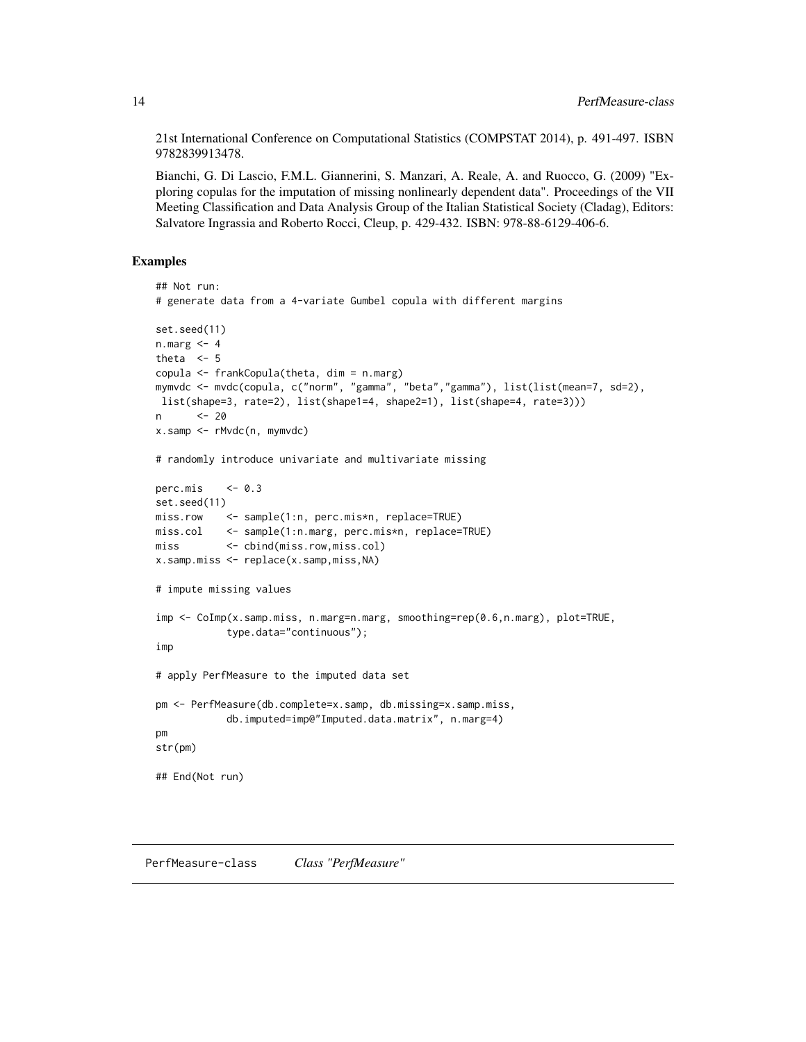<span id="page-13-0"></span>21st International Conference on Computational Statistics (COMPSTAT 2014), p. 491-497. ISBN 9782839913478.

Bianchi, G. Di Lascio, F.M.L. Giannerini, S. Manzari, A. Reale, A. and Ruocco, G. (2009) "Exploring copulas for the imputation of missing nonlinearly dependent data". Proceedings of the VII Meeting Classification and Data Analysis Group of the Italian Statistical Society (Cladag), Editors: Salvatore Ingrassia and Roberto Rocci, Cleup, p. 429-432. ISBN: 978-88-6129-406-6.

# Examples

```
## Not run:
# generate data from a 4-variate Gumbel copula with different margins
set.seed(11)
n.maxg < -4theta \leq 5
copula <- frankCopula(theta, dim = n.marg)
mymvdc <- mvdc(copula, c("norm", "gamma", "beta","gamma"), list(list(mean=7, sd=2),
list(shape=3, rate=2), list(shape1=4, shape2=1), list(shape=4, rate=3)))
n <- 20
x.samp <- rMvdc(n, mymvdc)
# randomly introduce univariate and multivariate missing
perc.mis \leq -0.3set.seed(11)
miss.row <- sample(1:n, perc.mis*n, replace=TRUE)
miss.col <- sample(1:n.marg, perc.mis*n, replace=TRUE)
miss <- cbind(miss.row,miss.col)
x.samp.miss <- replace(x.samp,miss,NA)
# impute missing values
imp <- CoImp(x.samp.miss, n.marg=n.marg, smoothing=rep(0.6,n.marg), plot=TRUE,
            type.data="continuous");
imp
# apply PerfMeasure to the imputed data set
pm <- PerfMeasure(db.complete=x.samp, db.missing=x.samp.miss,
            db.imputed=imp@"Imputed.data.matrix", n.marg=4)
pm
str(pm)
## End(Not run)
```
PerfMeasure-class *Class "PerfMeasure"*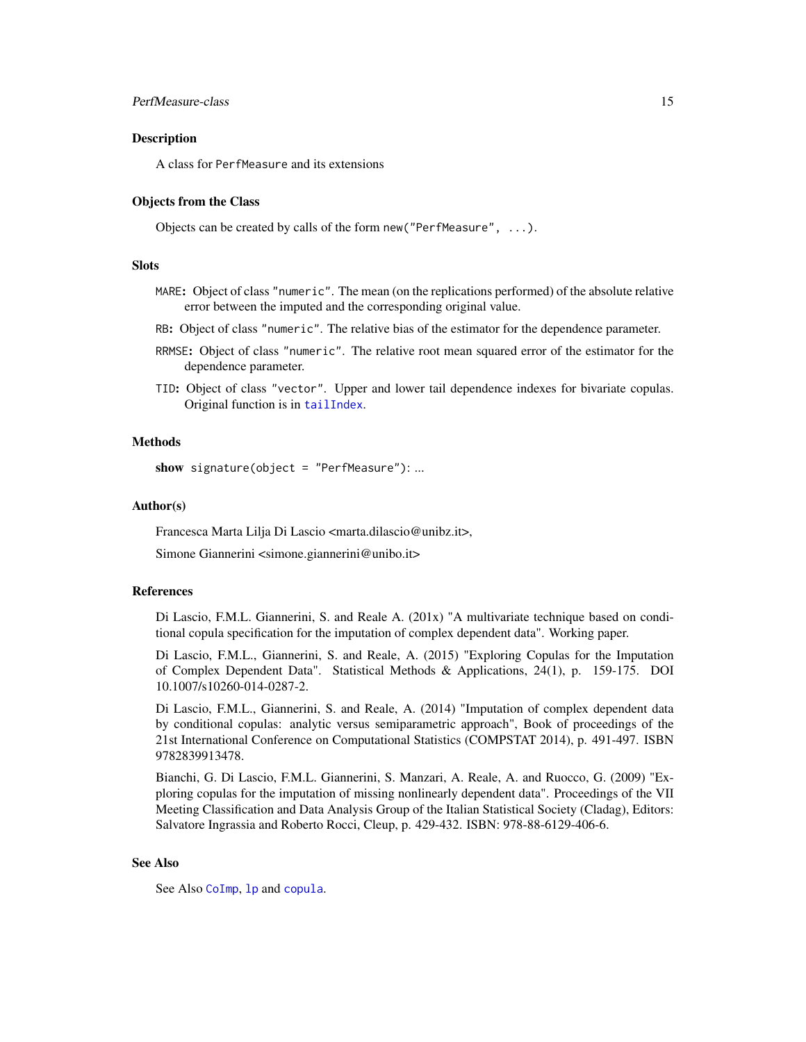# <span id="page-14-0"></span>PerfMeasure-class 15

# **Description**

A class for PerfMeasure and its extensions

# Objects from the Class

Objects can be created by calls of the form new("PerfMeasure", ...).

# **Slots**

- MARE: Object of class "numeric". The mean (on the replications performed) of the absolute relative error between the imputed and the corresponding original value.
- RB: Object of class "numeric". The relative bias of the estimator for the dependence parameter.
- RRMSE: Object of class "numeric". The relative root mean squared error of the estimator for the dependence parameter.
- TID: Object of class "vector". Upper and lower tail dependence indexes for bivariate copulas. Original function is in [tailIndex](#page-0-0).

# Methods

show signature(object = "PerfMeasure"): ...

# Author(s)

Francesca Marta Lilja Di Lascio <marta.dilascio@unibz.it>,

Simone Giannerini <simone.giannerini@unibo.it>

#### References

Di Lascio, F.M.L. Giannerini, S. and Reale A. (201x) "A multivariate technique based on conditional copula specification for the imputation of complex dependent data". Working paper.

Di Lascio, F.M.L., Giannerini, S. and Reale, A. (2015) "Exploring Copulas for the Imputation of Complex Dependent Data". Statistical Methods & Applications, 24(1), p. 159-175. DOI 10.1007/s10260-014-0287-2.

Di Lascio, F.M.L., Giannerini, S. and Reale, A. (2014) "Imputation of complex dependent data by conditional copulas: analytic versus semiparametric approach", Book of proceedings of the 21st International Conference on Computational Statistics (COMPSTAT 2014), p. 491-497. ISBN 9782839913478.

Bianchi, G. Di Lascio, F.M.L. Giannerini, S. Manzari, A. Reale, A. and Ruocco, G. (2009) "Exploring copulas for the imputation of missing nonlinearly dependent data". Proceedings of the VII Meeting Classification and Data Analysis Group of the Italian Statistical Society (Cladag), Editors: Salvatore Ingrassia and Roberto Rocci, Cleup, p. 429-432. ISBN: 978-88-6129-406-6.

# See Also

See Also [CoImp](#page-1-1), [lp](#page-0-0) and [copula](#page-0-0).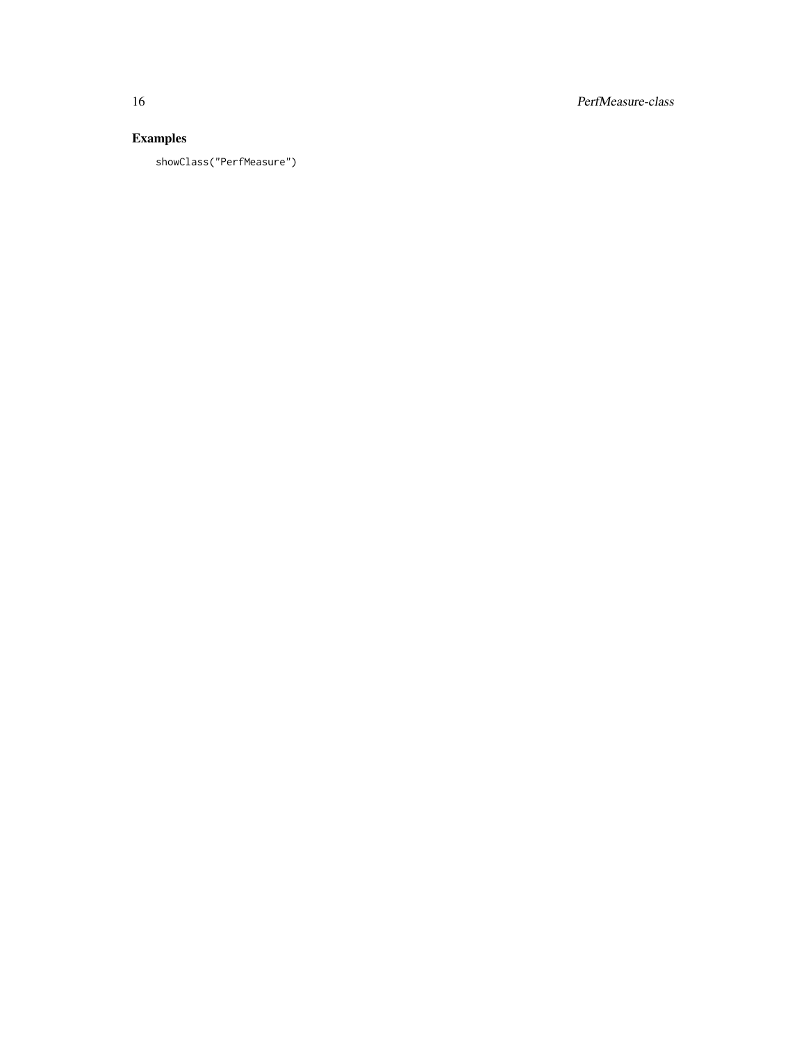16 PerfMeasure-class

# Examples

showClass("PerfMeasure")